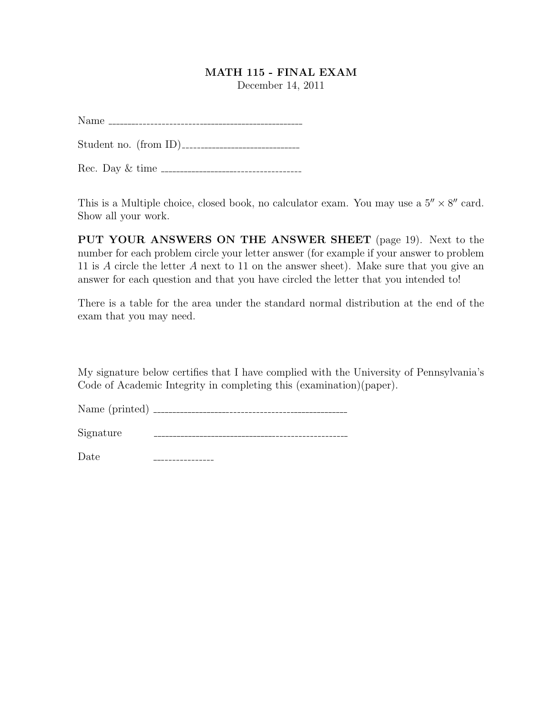## MATH 115 - FINAL EXAM

December 14, 2011

Name

Student no. (from ID)

Rec. Day & time

This is a Multiple choice, closed book, no calculator exam. You may use a  $5'' \times 8''$  card. Show all your work.

PUT YOUR ANSWERS ON THE ANSWER SHEET (page 19). Next to the number for each problem circle your letter answer (for example if your answer to problem 11 is A circle the letter A next to 11 on the answer sheet). Make sure that you give an answer for each question and that you have circled the letter that you intended to!

There is a table for the area under the standard normal distribution at the end of the exam that you may need.

My signature below certifies that I have complied with the University of Pennsylvania's Code of Academic Integrity in completing this (examination)(paper).

Name (printed)

Signature

Date\_\_\_\_\_\_\_\_\_\_\_\_\_\_\_\_\_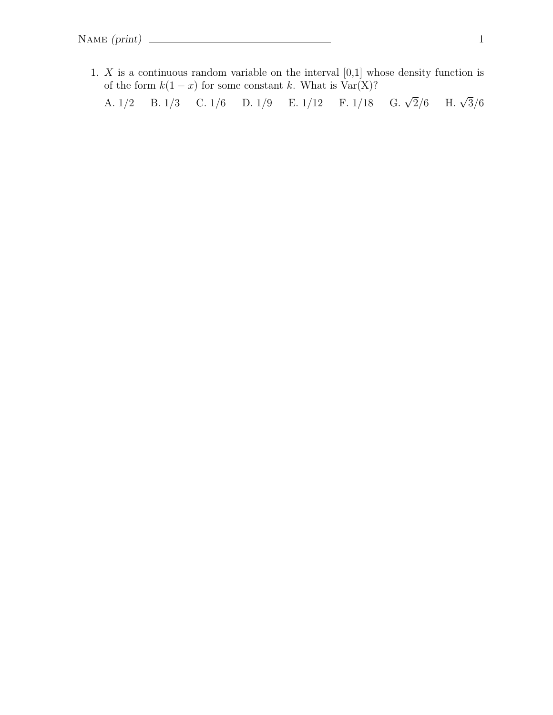1.  $X$  is a continuous random variable on the interval  $[0,1]$  whose density function is of the form  $k(1-x)$  for some constant k. What is Var(X)? A.  $1/2$  B.  $1/3$  C.  $1/6$  D.  $1/9$  E.  $1/12$  F.  $1/18$  G.  $\sqrt{2}/6$  $\frac{2}{6}$  H.  $\sqrt{3}/6$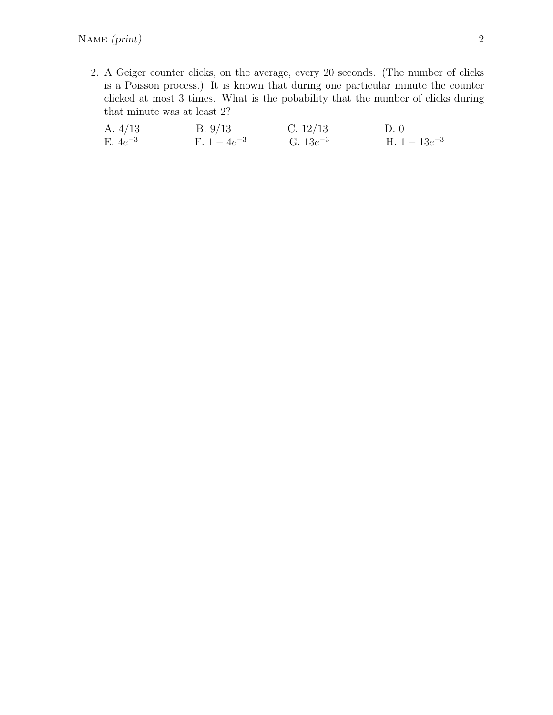2. A Geiger counter clicks, on the average, every 20 seconds. (The number of clicks is a Poisson process.) It is known that during one particular minute the counter clicked at most 3 times. What is the pobability that the number of clicks during that minute was at least 2?

| A. $4/13$    | B. 9/13        | C. $12/13$    | D.0             |
|--------------|----------------|---------------|-----------------|
| E. $4e^{-3}$ | F. $1-4e^{-3}$ | G. $13e^{-3}$ | H. $1-13e^{-3}$ |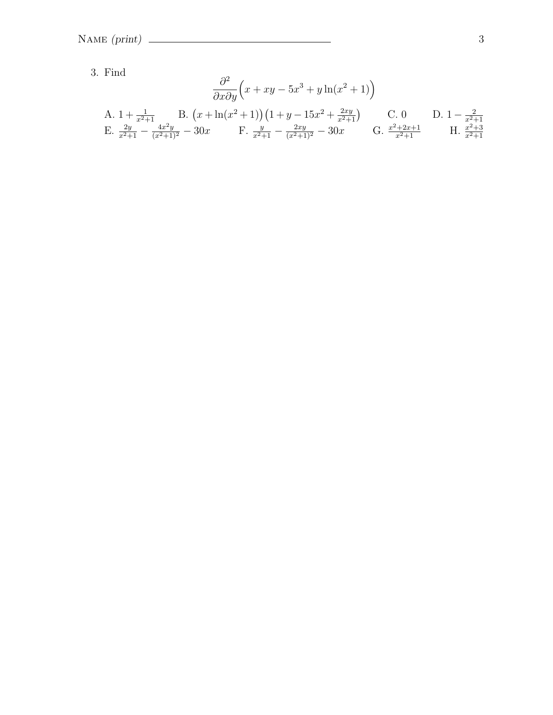3. Find

$$
\frac{\partial^2}{\partial x \partial y} \left( x + xy - 5x^3 + y \ln(x^2 + 1) \right)
$$
  
\nA.  $1 + \frac{1}{x^2 + 1}$  B.  $\left( x + \ln(x^2 + 1) \right) \left( 1 + y - 15x^2 + \frac{2xy}{x^2 + 1} \right)$  C. 0 D.  $1 - \frac{2}{x^2 + 1}$   
\nE.  $\frac{2y}{x^2 + 1} - \frac{4x^2y}{(x^2 + 1)^2} - 30x$  F.  $\frac{y}{x^2 + 1} - \frac{2xy}{(x^2 + 1)^2} - 30x$  G.  $\frac{x^2 + 2x + 1}{x^2 + 1}$  H.  $\frac{x^2 + 3}{x^2 + 1}$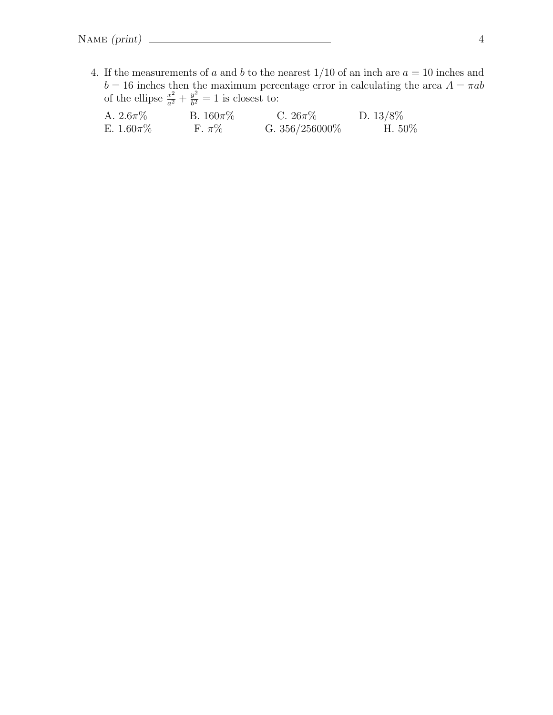4. If the measurements of a and b to the nearest  $1/10$  of an inch are  $a = 10$  inches and  $b = 16$  inches then the maximum percentage error in calculating the area  $A = \pi ab$ of the ellipse  $\frac{x^2}{a^2}$  $rac{x^2}{a^2} + \frac{y^2}{b^2}$  $\frac{y^2}{b^2} = 1$  is closest to:

| A. $2.6\pi\%$  | B. $160\pi\%$ | C. $26\pi\%$      | D. $13/8\%$ |
|----------------|---------------|-------------------|-------------|
| E. $1.60\pi\%$ | F. $\pi\%$    | G. $356/256000\%$ | H. $50\%$   |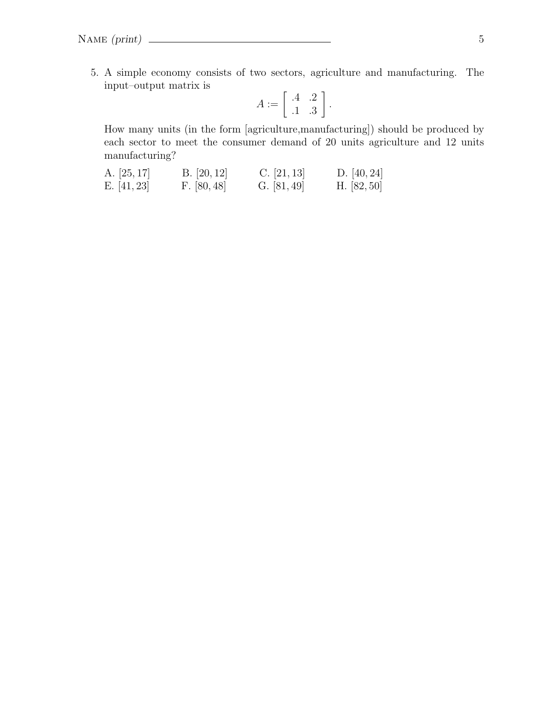5. A simple economy consists of two sectors, agriculture and manufacturing. The input–output matrix is

$$
A := \left[ \begin{array}{cc} .4 & .2 \\ .1 & .3 \end{array} \right].
$$

How many units (in the form [agriculture,manufacturing]) should be produced by each sector to meet the consumer demand of 20 units agriculture and 12 units manufacturing?

| A. $[25, 17]$ | B. [20, 12] | C. [21, 13]   | D. $[40, 24]$ |
|---------------|-------------|---------------|---------------|
| E. $[41, 23]$ | F. [80, 48] | G. $[81, 49]$ | H. $[82, 50]$ |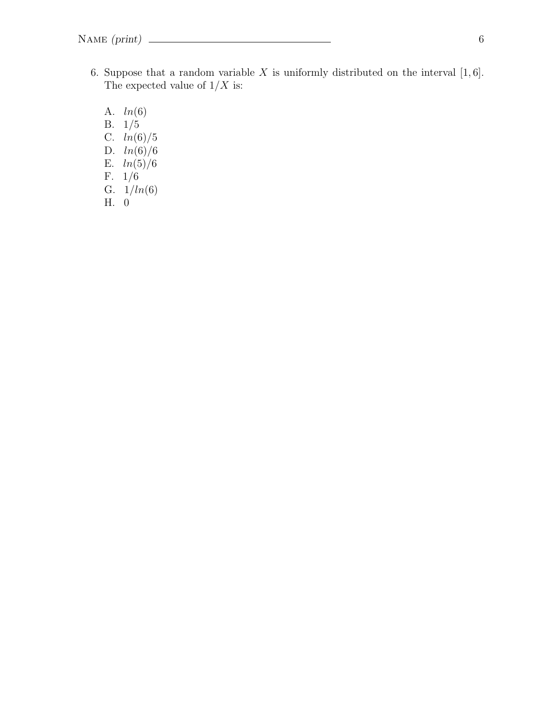- 6. Suppose that a random variable  $X$  is uniformly distributed on the interval  $[1, 6]$ . The expected value of  $1/X$  is:
	- A. ln(6) B. 1/5 C.  $ln(6)/5$ D.  $ln(6)/6$ E.  $ln(5)/6$ F. 1/6 G.  $1/ln(6)$ H. 0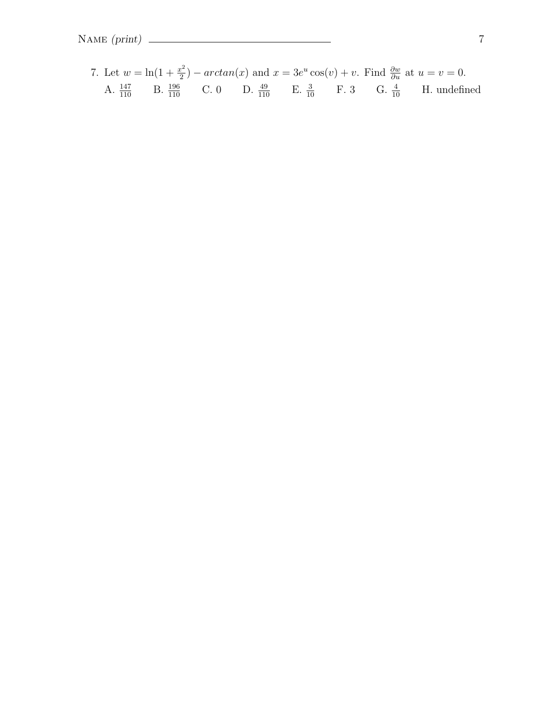7. Let 
$$
w = \ln(1 + \frac{x^2}{2}) - \arctan(x)
$$
 and  $x = 3e^u \cos(v) + v$ . Find  $\frac{\partial w}{\partial u}$  at  $u = v = 0$ .  
A.  $\frac{147}{110}$  B.  $\frac{196}{110}$  C. 0 D.  $\frac{49}{110}$  E.  $\frac{3}{10}$  F. 3 G.  $\frac{4}{10}$  H. undefined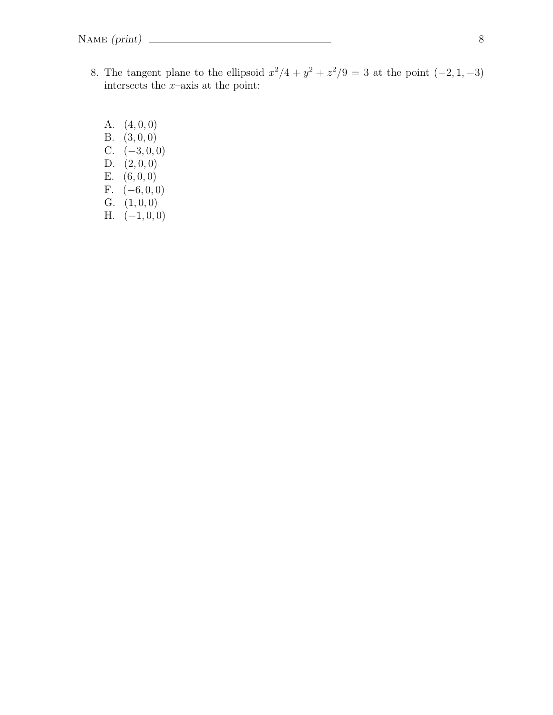- 8. The tangent plane to the ellipsoid  $x^2/4 + y^2 + z^2/9 = 3$  at the point  $(-2, 1, -3)$ intersects the  $x$ -axis at the point:
	- A.  $(4, 0, 0)$ B. (3, 0, 0) C.  $(-3, 0, 0)$ D.  $(2, 0, 0)$ E. (6, 0, 0) F.  $(-6, 0, 0)$ G.  $(1, 0, 0)$ H.  $(-1, 0, 0)$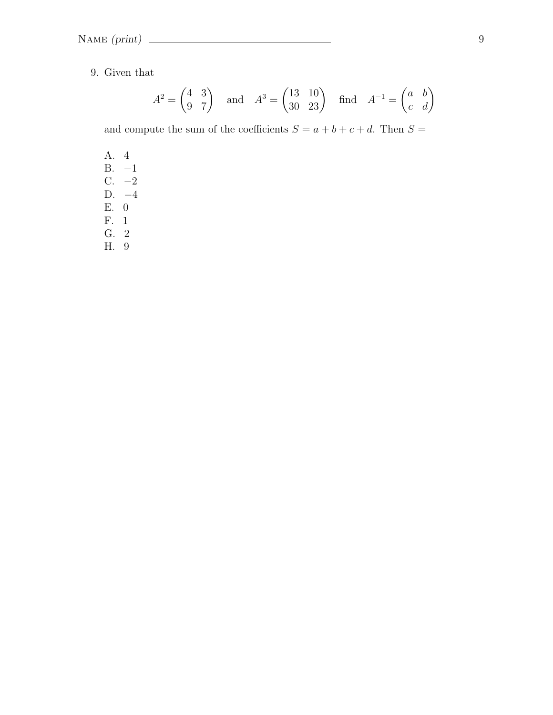9. Given that

$$
A^2 = \begin{pmatrix} 4 & 3 \\ 9 & 7 \end{pmatrix} \quad \text{and} \quad A^3 = \begin{pmatrix} 13 & 10 \\ 30 & 23 \end{pmatrix} \quad \text{find} \quad A^{-1} = \begin{pmatrix} a & b \\ c & d \end{pmatrix}
$$

and compute the sum of the coefficients  $S = a + b + c + d$ . Then  $S =$ 

- A. 4 B. −1 C. −2
- D. −4
- E. 0
- F. 1
- G. 2
- H. 9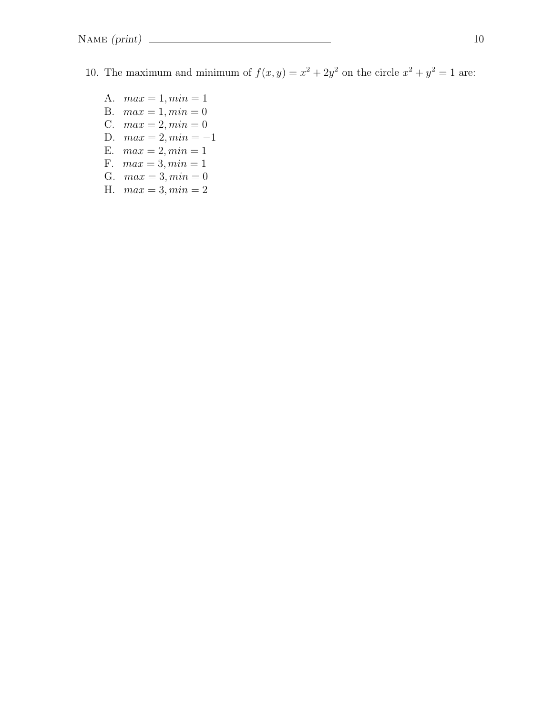- 10. The maximum and minimum of  $f(x, y) = x^2 + 2y^2$  on the circle  $x^2 + y^2 = 1$  are:
	- A.  $max = 1, min = 1$
	- B.  $max = 1, min = 0$
	- C.  $max = 2, min = 0$
	- D.  $max = 2, min = -1$
	- E.  $max = 2, min = 1$
	- F.  $max = 3, min = 1$
	- G.  $max = 3, min = 0$
	- H.  $max = 3, min = 2$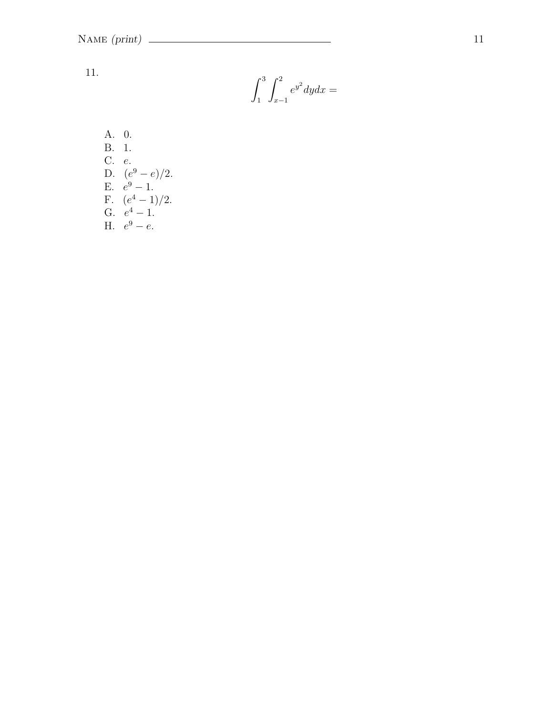11.

$$
\int_1^3 \int_{x-1}^2 e^{y^2} dy dx =
$$

A. 0.  
\nB. 1.  
\nC. e.  
\nD. 
$$
(e^9 - e)/2
$$
.  
\nE.  $e^9 - 1$ .  
\nF.  $(e^4 - 1)/2$ .  
\nG.  $e^4 - 1$ .  
\nH.  $e^9 - e$ .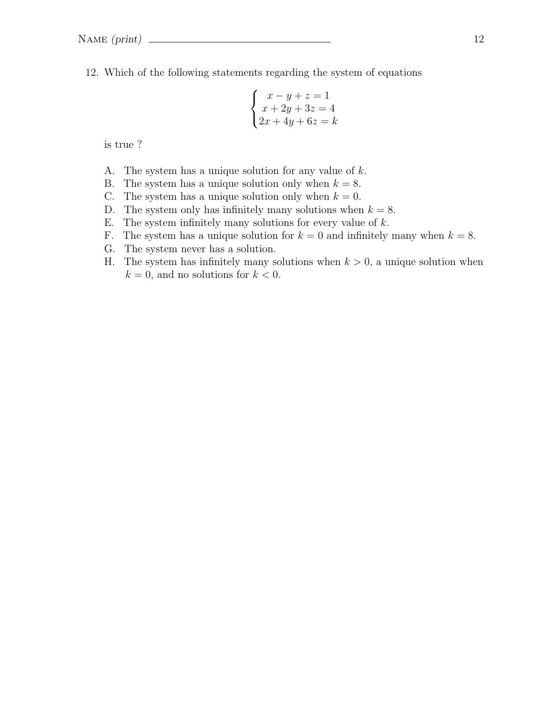12. Which of the following statements regarding the system of equations

$$
\begin{cases}\nx - y + z = 1 \\
x + 2y + 3z = 4 \\
2x + 4y + 6z = k\n\end{cases}
$$

is true ?

- A. The system has a unique solution for any value of k.
- B. The system has a unique solution only when  $k = 8$ .
- C. The system has a unique solution only when  $k = 0$ .
- D. The system only has infinitely many solutions when  $k = 8$ .
- E. The system infinitely many solutions for every value of  $k$ .
- F. The system has a unique solution for  $k = 0$  and infinitely many when  $k = 8$ .
- G. The system never has a solution.
- H. The system has infinitely many solutions when  $k > 0$ , a unique solution when  $k = 0$ , and no solutions for  $k < 0$ .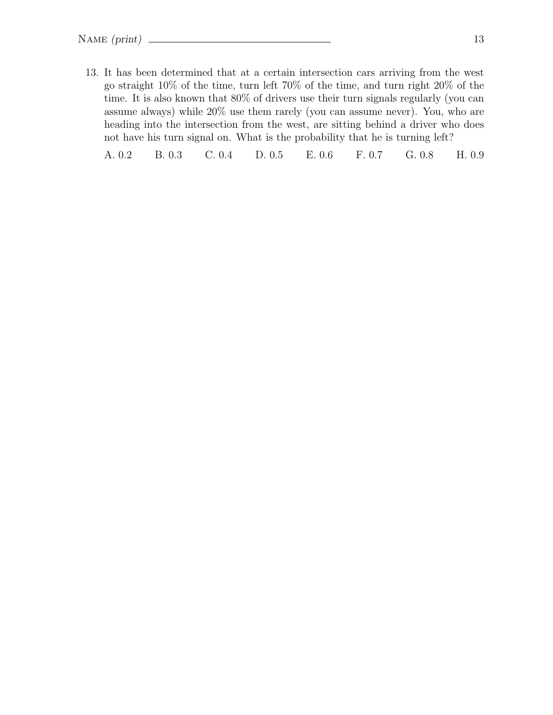13. It has been determined that at a certain intersection cars arriving from the west go straight 10% of the time, turn left 70% of the time, and turn right 20% of the time. It is also known that 80% of drivers use their turn signals regularly (you can assume always) while 20% use them rarely (you can assume never). You, who are heading into the intersection from the west, are sitting behind a driver who does not have his turn signal on. What is the probability that he is turning left?

A. 0.2 B. 0.3 C. 0.4 D. 0.5 E. 0.6 F. 0.7 G. 0.8 H. 0.9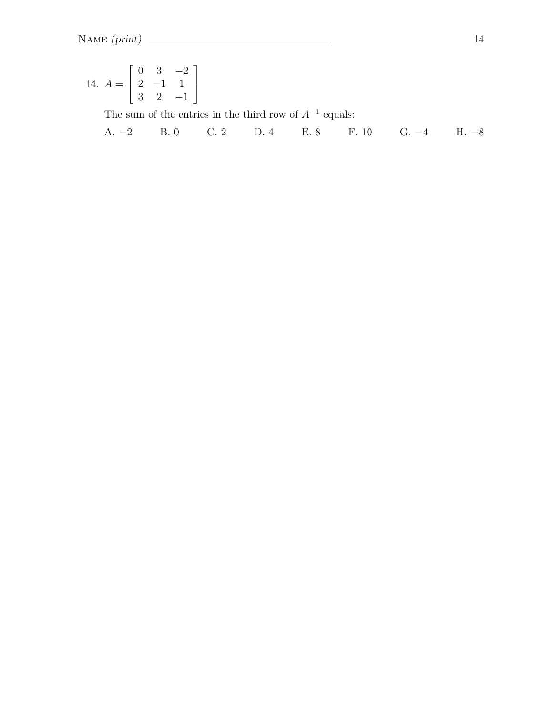14. 
$$
A = \begin{bmatrix} 0 & 3 & -2 \\ 2 & -1 & 1 \\ 3 & 2 & -1 \end{bmatrix}
$$
  
The sum of the entries in the third row of  $A^{-1}$  equals:

A. 
$$
-2
$$
 B. 0 C. 2 D. 4 E. 8 F. 10 G.  $-4$  H.  $-8$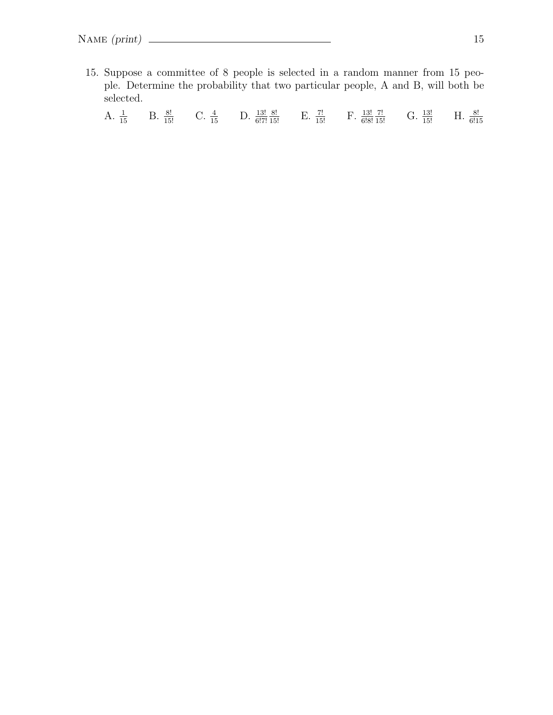15. Suppose a committee of 8 people is selected in a random manner from 15 people. Determine the probability that two particular people, A and B, will both be selected.

A.  $\frac{1}{15}$  B.  $\frac{8!}{15!}$  C.  $\frac{4}{15}$  D.  $\frac{13!}{6!7!}$  $\frac{8!}{15!}$  E.  $\frac{7!}{15!}$  F.  $\frac{13!}{6!8!}$  $\frac{7!}{15!}$  G.  $\frac{13!}{15!}$  H.  $\frac{8!}{6!15}$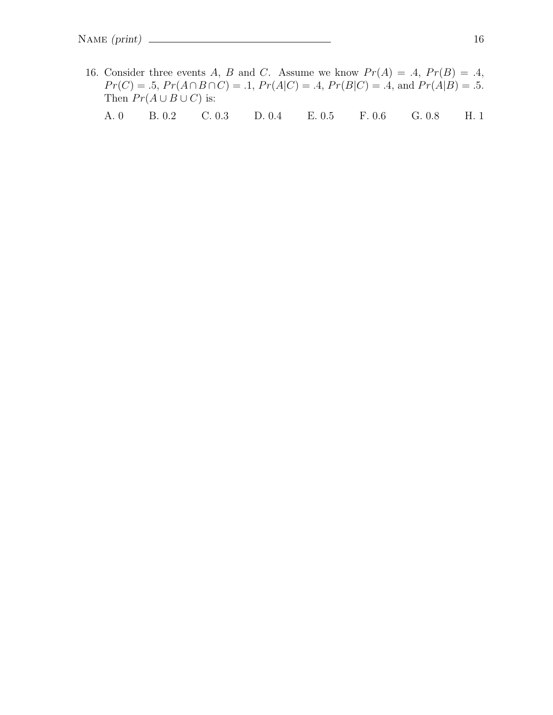16. Consider three events A, B and C. Assume we know  $Pr(A) = .4$ ,  $Pr(B) = .4$ ,  $Pr(C) = .5, Pr(A \cap B \cap C) = .1, Pr(A|C) = .4, Pr(B|C) = .4, and Pr(A|B) = .5.$ Then  $Pr(A \cup B \cup C)$  is:

A. 0 B. 0.2 C. 0.3 D. 0.4 E. 0.5 F. 0.6 G. 0.8 H. 1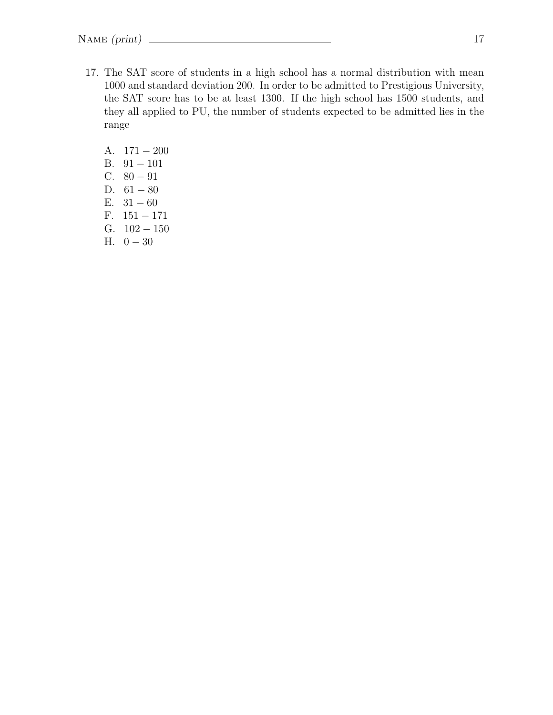- 17. The SAT score of students in a high school has a normal distribution with mean 1000 and standard deviation 200. In order to be admitted to Prestigious University, the SAT score has to be at least 1300. If the high school has 1500 students, and they all applied to PU, the number of students expected to be admitted lies in the range
	- A. 171 − 200 B. 91 − 101 C.  $80 - 91$ D.  $61 - 80$ E.  $31 - 60$ F. 151 − 171 G.  $102 - 150$ H.  $0-30$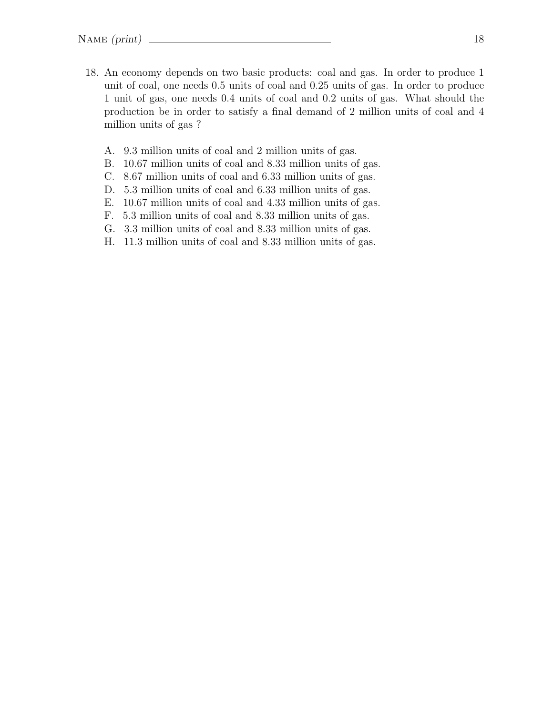- 18. An economy depends on two basic products: coal and gas. In order to produce 1 unit of coal, one needs 0.5 units of coal and 0.25 units of gas. In order to produce 1 unit of gas, one needs 0.4 units of coal and 0.2 units of gas. What should the production be in order to satisfy a final demand of 2 million units of coal and 4 million units of gas ?
	- A. 9.3 million units of coal and 2 million units of gas.
	- B. 10.67 million units of coal and 8.33 million units of gas.
	- C. 8.67 million units of coal and 6.33 million units of gas.
	- D. 5.3 million units of coal and 6.33 million units of gas.
	- E. 10.67 million units of coal and 4.33 million units of gas.
	- F. 5.3 million units of coal and 8.33 million units of gas.
	- G. 3.3 million units of coal and 8.33 million units of gas.
	- H. 11.3 million units of coal and 8.33 million units of gas.